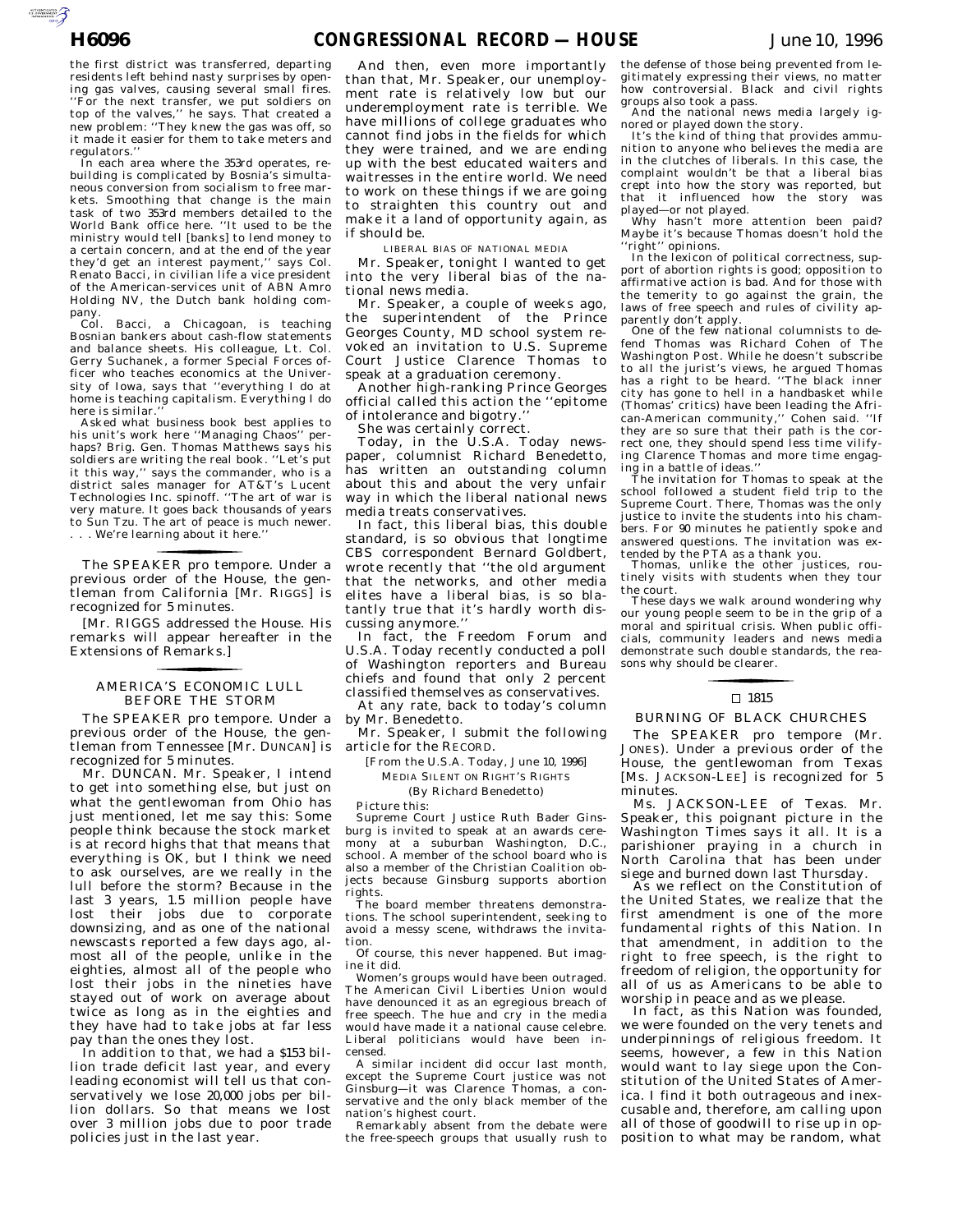AUTOROTOMICALE

the first district was transferred, departing residents left behind nasty surprises by opening gas valves, causing several small fires. ''For the next transfer, we put soldiers on top of the valves,'' he says. That created a new problem: ''They knew the gas was off, so it made it easier for them to take meters and regulators.''

In each area where the 353rd operates, rebuilding is complicated by Bosnia's simultaneous conversion from socialism to free markets. Smoothing that change is the main task of two 353rd members detailed to the World Bank office here. ''It used to be the ministry would tell [banks] to lend money to a certain concern, and at the end of the year they'd get an interest payment,'' says Col. Renato Bacci, in civilian life a vice president of the American-services unit of ABN Amro Holding NV, the Dutch bank holding company.

Col. Bacci, a Chicagoan, is teaching Bosnian bankers about cash-flow statements and balance sheets. His colleague, Lt. Col. Gerry Suchanek, a former Special Forces officer who teaches economics at the University of Iowa, says that ''everything I do at home is teaching capitalism. Everything I do here is similar.''

Asked what business book best applies to his unit's work here "Managing Chaos" perhaps? Brig. Gen. Thomas Matthews says his soldiers are writing the real book. ''Let's put it this way,'' says the commander, who is a district sales manager for AT&T's Lucent Technologies Inc. spinoff. ''The art of war is very mature. It goes back thousands of years to Sun Tzu. The art of peace is much newer. . . . We're learning about it here.''

previous order of the House, the gentleman from California [Mr. R IGGS] is The SPEAKER pro tempore. Under a recognized for 5 minutes.

for the control of the control of

[Mr. RIGGS addressed the House. His remarks will appear hereafter in the Extensions of Remarks.]

## AMERICA'S ECONOMIC LULL BEFORE THE STORM for the control of the control of

The SPEAKER pro tempore. Under a previous order of the House, the gentleman from Tennessee [Mr. DUNCAN] is recognized for 5 minutes.

Mr. DUNCAN. Mr. Speaker, I intend to get into something else, but just on what the gentlewoman from Ohio has just mentioned, let me say this: Some people think because the stock market is at record highs that that means that everything is OK, but I think we need to ask ourselves, are we really in the lull before the storm? Because in the last 3 years, 1.5 million people have lost their jobs due to corporate downsizing, and as one of the national newscasts reported a few days ago, almost all of the people, unlike in the eighties, almost all of the people who lost their jobs in the nineties have stayed out of work on average about twice as long as in the eighties and they have had to take jobs at far less pay than the ones they lost.

In addition to that, we had a \$153 billion trade deficit last year, and every leading economist will tell us that conservatively we lose 20,000 jobs per billion dollars. So that means we lost over 3 million jobs due to poor trade policies just in the last year.

And then, even more importantly than that, Mr. Speaker, our unemployment rate is relatively low but our underemployment rate is terrible. We have millions of college graduates who cannot find jobs in the fields for which they were trained, and we are ending up with the best educated waiters and waitresses in the entire world. We need to work on these things if we are going to straighten this country out and make it a land of opportunity again, as if should be.

LIBERAL BIAS OF NATIONAL MEDIA

Mr. Speaker, tonight I wanted to get into the very liberal bias of the national news media.

Mr. Speaker, a couple of weeks ago, the superintendent of the Prince Georges County, MD school system revoked an invitation to U.S. Supreme Court Justice Clarence Thomas to speak at a graduation ceremony.

Another high-ranking Prince Georges official called this action the ''epitome of intolerance and bigotry.''

She was certainly correct.

Today, in the U.S.A. Today newspaper, columnist Richard Benedetto, has written an outstanding column about this and about the very unfair way in which the liberal national news media treats conservatives.

In fact, this liberal bias, this double standard, is so obvious that longtime CBS correspondent Bernard Goldbert, wrote recently that ''the old argument that the networks, and other media elites have a liberal bias, is so blatantly true that it's hardly worth discussing anymore.''

In fact, the Freedom Forum and U.S.A. Today recently conducted a poll of Washington reporters and Bureau chiefs and found that only 2 percent classified themselves as conservatives.

At any rate, back to today's column by Mr. Benedetto.

Mr. Speaker, I submit the following article for the RECORD.

[From the U.S.A. Today, June 10, 1996] MEDIA SILENT ON RIGHT'S RIGHTS

(By Richard Benedetto)

Picture this:

Supreme Court Justice Ruth Bader Ginsburg is invited to speak at an awards ceremony at a suburban Washington, D.C., school. A member of the school board who is also a member of the Christian Coalition objects because Ginsburg supports abortion rights.

The board member threatens demonstrations. The school superintendent, seeking to avoid a messy scene, withdraws the invitation.

Of course, this never happened. But imagine it did.

Women's groups would have been outraged. The American Civil Liberties Union would have denounced it as an egregious breach of free speech. The hue and cry in the media would have made it a national cause celebre. Liberal politicians would have been incensed.

A similar incident did occur last month, except the Supreme Court justice was not Ginsburg—it was Clarence Thomas, a conservative and the only black member of the nation's highest court.

Remarkably absent from the debate were the free-speech groups that usually rush to

the defense of those being prevented from legitimately expressing their views, no matter how controversial. Black and civil rights groups also took a pass.

And the national news media largely ignored or played down the story.

It's the kind of thing that provides ammunition to anyone who believes the media are in the clutches of liberals. In this case, the complaint wouldn't be that a liberal bias crept into how the story was reported, but that it influenced how the story was

played—or not played. Why hasn't more attention been paid? Maybe it's because Thomas doesn't hold the ''right'' opinions.

In the lexicon of political correctness, support of abortion rights is good; opposition to affirmative action is bad. And for those with the temerity to go against the grain, the laws of free speech and rules of civility apparently don't apply.

One of the few national columnists to defend Thomas was Richard Cohen of The Washington Post. While he doesn't subscribe to all the jurist's views, he argued Thomas has a right to be heard. ''The black inner city has gone to hell in a handbasket while (Thomas' critics) have been leading the African-American community,'' Cohen said. ''If they are so sure that their path is the correct one, they should spend less time vilifying Clarence Thomas and more time engag-

ing in a battle of ideas.'' The invitation for Thomas to speak at the school followed a student field trip to the Supreme Court. There, Thomas was the only justice to invite the students into his chambers. For 90 minutes he patiently spoke and answered questions. The invitation was extended by the PTA as a thank you.

Thomas, unlike the other justices, routinely visits with students when they tour the court.

These days we walk around wondering why our young people seem to be in the grip of a moral and spiritual crisis. When public officials, community leaders and news media demonstrate such double standards, the reasons why should be clearer.

## $\Box$  1815

## BURNING OF BLACK CHURCHES

The SPEAKER pro tempore (Mr. JONES). Under a previous order of the House, the gentlewoman from Texas [Ms. JACKSON-LEE] is recognized for 5 minutes.

Ms. JACKSON-LEE of Texas. Mr. Speaker, this poignant picture in the Washington Times says it all. It is a parishioner praying in a church in North Carolina that has been under siege and burned down last Thursday.

As we reflect on the Constitution of the United States, we realize that the first amendment is one of the more fundamental rights of this Nation. In that amendment, in addition to the right to free speech, is the right to freedom of religion, the opportunity for all of us as Americans to be able to worship in peace and as we please.

In fact, as this Nation was founded, we were founded on the very tenets and underpinnings of religious freedom. It seems, however, a few in this Nation would want to lay siege upon the Constitution of the United States of America. I find it both outrageous and inexcusable and, therefore, am calling upon all of those of goodwill to rise up in opposition to what may be random, what